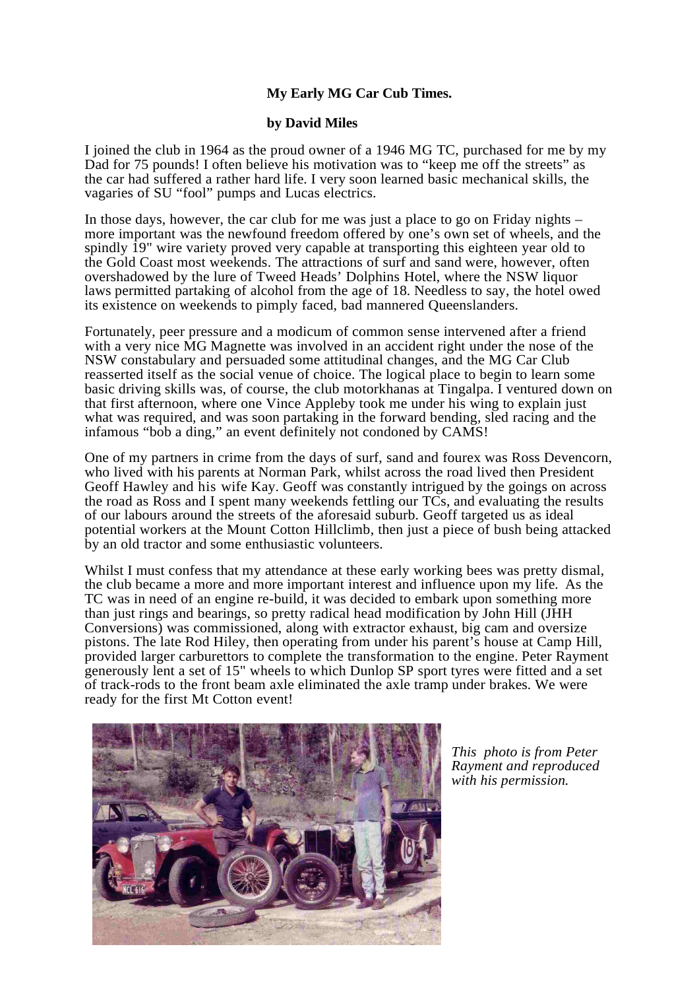## **My Early MG Car Cub Times.**

## **by David Miles**

I joined the club in 1964 as the proud owner of a 1946 MG TC, purchased for me by my Dad for 75 pounds! I often believe his motivation was to "keep me off the streets" as the car had suffered a rather hard life. I very soon learned basic mechanical skills, the vagaries of SU "fool" pumps and Lucas electrics.

In those days, however, the car club for me was just a place to go on Friday nights – more important was the newfound freedom offered by one's own set of wheels, and the spindly 19" wire variety proved very capable at transporting this eighteen year old to the Gold Coast most weekends. The attractions of surf and sand were, however, often overshadowed by the lure of Tweed Heads' Dolphins Hotel, where the NSW liquor laws permitted partaking of alcohol from the age of 18. Needless to say, the hotel owed its existence on weekends to pimply faced, bad mannered Queenslanders.

Fortunately, peer pressure and a modicum of common sense intervened after a friend with a very nice MG Magnette was involved in an accident right under the nose of the NSW constabulary and persuaded some attitudinal changes, and the MG Car Club reasserted itself as the social venue of choice. The logical place to begin to learn some basic driving skills was, of course, the club motorkhanas at Tingalpa. I ventured down on that first afternoon, where one Vince Appleby took me under his wing to explain just what was required, and was soon partaking in the forward bending, sled racing and the infamous "bob a ding," an event definitely not condoned by CAMS!

One of my partners in crime from the days of surf, sand and fourex was Ross Devencorn, who lived with his parents at Norman Park, whilst across the road lived then President Geoff Hawley and his wife Kay. Geoff was constantly intrigued by the goings on across the road as Ross and I spent many weekends fettling our TCs, and evaluating the results of our labours around the streets of the aforesaid suburb. Geoff targeted us as ideal potential workers at the Mount Cotton Hillclimb, then just a piece of bush being attacked by an old tractor and some enthusiastic volunteers.

Whilst I must confess that my attendance at these early working bees was pretty dismal, the club became a more and more important interest and influence upon my life. As the TC was in need of an engine re-build, it was decided to embark upon something more than just rings and bearings, so pretty radical head modification by John Hill (JHH Conversions) was commissioned, along with extractor exhaust, big cam and oversize pistons. The late Rod Hiley, then operating from under his parent's house at Camp Hill, provided larger carburettors to complete the transformation to the engine. Peter Rayment generously lent a set of 15" wheels to which Dunlop SP sport tyres were fitted and a set of track-rods to the front beam axle eliminated the axle tramp under brakes. We were ready for the first Mt Cotton event!



*This photo is from Peter Rayment and reproduced with his permission.*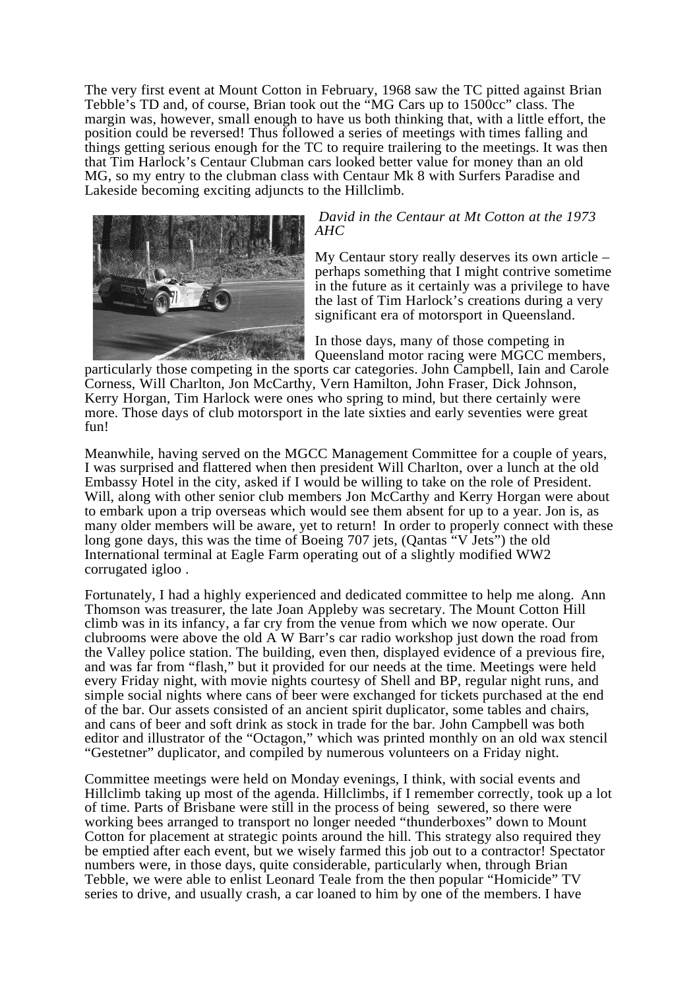The very first event at Mount Cotton in February, 1968 saw the TC pitted against Brian Tebble's TD and, of course, Brian took out the "MG Cars up to 1500cc" class. The margin was, however, small enough to have us both thinking that, with a little effort, the position could be reversed! Thus followed a series of meetings with times falling and things getting serious enough for the TC to require trailering to the meetings. It was then that Tim Harlock's Centaur Clubman cars looked better value for money than an old MG, so my entry to the clubman class with Centaur Mk 8 with Surfers Paradise and Lakeside becoming exciting adjuncts to the Hillclimb.



## *David in the Centaur at Mt Cotton at the 1973 AHC*

My Centaur story really deserves its own article – perhaps something that I might contrive sometime in the future as it certainly was a privilege to have the last of Tim Harlock's creations during a very significant era of motorsport in Queensland.

In those days, many of those competing in Queensland motor racing were MGCC members,

particularly those competing in the sports car categories. John Campbell, Iain and Carole Corness, Will Charlton, Jon McCarthy, Vern Hamilton, John Fraser, Dick Johnson, Kerry Horgan, Tim Harlock were ones who spring to mind, but there certainly were more. Those days of club motorsport in the late sixties and early seventies were great fun!

Meanwhile, having served on the MGCC Management Committee for a couple of years, I was surprised and flattered when then president Will Charlton, over a lunch at the old Embassy Hotel in the city, asked if I would be willing to take on the role of President. Will, along with other senior club members Jon McCarthy and Kerry Horgan were about to embark upon a trip overseas which would see them absent for up to a year. Jon is, as many older members will be aware, yet to return! In order to properly connect with these long gone days, this was the time of Boeing 707 jets, (Qantas "V Jets") the old International terminal at Eagle Farm operating out of a slightly modified WW2 corrugated igloo .

Fortunately, I had a highly experienced and dedicated committee to help me along. Ann Thomson was treasurer, the late Joan Appleby was secretary. The Mount Cotton Hill climb was in its infancy, a far cry from the venue from which we now operate. Our clubrooms were above the old A W Barr's car radio workshop just down the road from the Valley police station. The building, even then, displayed evidence of a previous fire, and was far from "flash," but it provided for our needs at the time. Meetings were held every Friday night, with movie nights courtesy of Shell and BP, regular night runs, and simple social nights where cans of beer were exchanged for tickets purchased at the end of the bar. Our assets consisted of an ancient spirit duplicator, some tables and chairs, and cans of beer and soft drink as stock in trade for the bar. John Campbell was both editor and illustrator of the "Octagon," which was printed monthly on an old wax stencil "Gestetner" duplicator, and compiled by numerous volunteers on a Friday night.

Committee meetings were held on Monday evenings, I think, with social events and Hillclimb taking up most of the agenda. Hillclimbs, if I remember correctly, took up a lot of time. Parts of Brisbane were still in the process of being sewered, so there were working bees arranged to transport no longer needed "thunderboxes" down to Mount Cotton for placement at strategic points around the hill. This strategy also required they be emptied after each event, but we wisely farmed this job out to a contractor! Spectator numbers were, in those days, quite considerable, particularly when, through Brian Tebble, we were able to enlist Leonard Teale from the then popular "Homicide" TV series to drive, and usually crash, a car loaned to him by one of the members. I have